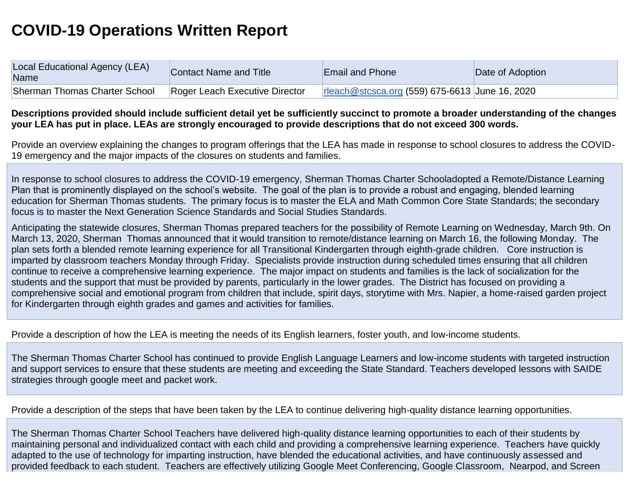## **COVID-19 Operations Written Report**

| Local Educational Agency (LEA)<br>Name | <b>Contact Name and Title</b>  | <b>Email and Phone</b>                         | Date of Adoption |
|----------------------------------------|--------------------------------|------------------------------------------------|------------------|
| Sherman Thomas Charter School          | Roger Leach Executive Director | rleach@stcsca.org (559) 675-6613 June 16, 2020 |                  |

## **Descriptions provided should include sufficient detail yet be sufficiently succinct to promote a broader understanding of the changes your LEA has put in place. LEAs are strongly encouraged to provide descriptions that do not exceed 300 words.**

Provide an overview explaining the changes to program offerings that the LEA has made in response to school closures to address the COVID-19 emergency and the major impacts of the closures on students and families.

In response to school closures to address the COVID-19 emergency, Sherman Thomas Charter Schooladopted a Remote/Distance Learning Plan that is prominently displayed on the school's website. The goal of the plan is to provide a robust and engaging, blended learning education for Sherman Thomas students. The primary focus is to master the ELA and Math Common Core State Standards; the secondary focus is to master the Next Generation Science Standards and Social Studies Standards.

Anticipating the statewide closures, Sherman Thomas prepared teachers for the possibility of Remote Learning on Wednesday, March 9th. On March 13, 2020, Sherman Thomas announced that it would transition to remote/distance learning on March 16, the following Monday. The plan sets forth a blended remote learning experience for all Transitional Kindergarten through eighth-grade children. Core instruction is imparted by classroom teachers Monday through Friday. Specialists provide instruction during scheduled times ensuring that all children continue to receive a comprehensive learning experience. The major impact on students and families is the lack of socialization for the students and the support that must be provided by parents, particularly in the lower grades. The District has focused on providing a comprehensive social and emotional program from children that include, spirit days, storytime with Mrs. Napier, a home-raised garden project for Kindergarten through eighth grades and games and activities for families.

Provide a description of how the LEA is meeting the needs of its English learners, foster youth, and low-income students.

The Sherman Thomas Charter School has continued to provide English Language Learners and low-income students with targeted instruction and support services to ensure that these students are meeting and exceeding the State Standard. Teachers developed lessons with SAIDE strategies through google meet and packet work.

Provide a description of the steps that have been taken by the LEA to continue delivering high-quality distance learning opportunities.

The Sherman Thomas Charter School Teachers have delivered high-quality distance learning opportunities to each of their students by maintaining personal and individualized contact with each child and providing a comprehensive learning experience. Teachers have quickly adapted to the use of technology for imparting instruction, have blended the educational activities, and have continuously assessed and provided feedback to each student. Teachers are effectively utilizing Google Meet Conferencing, Google Classroom, Nearpod, and Screen